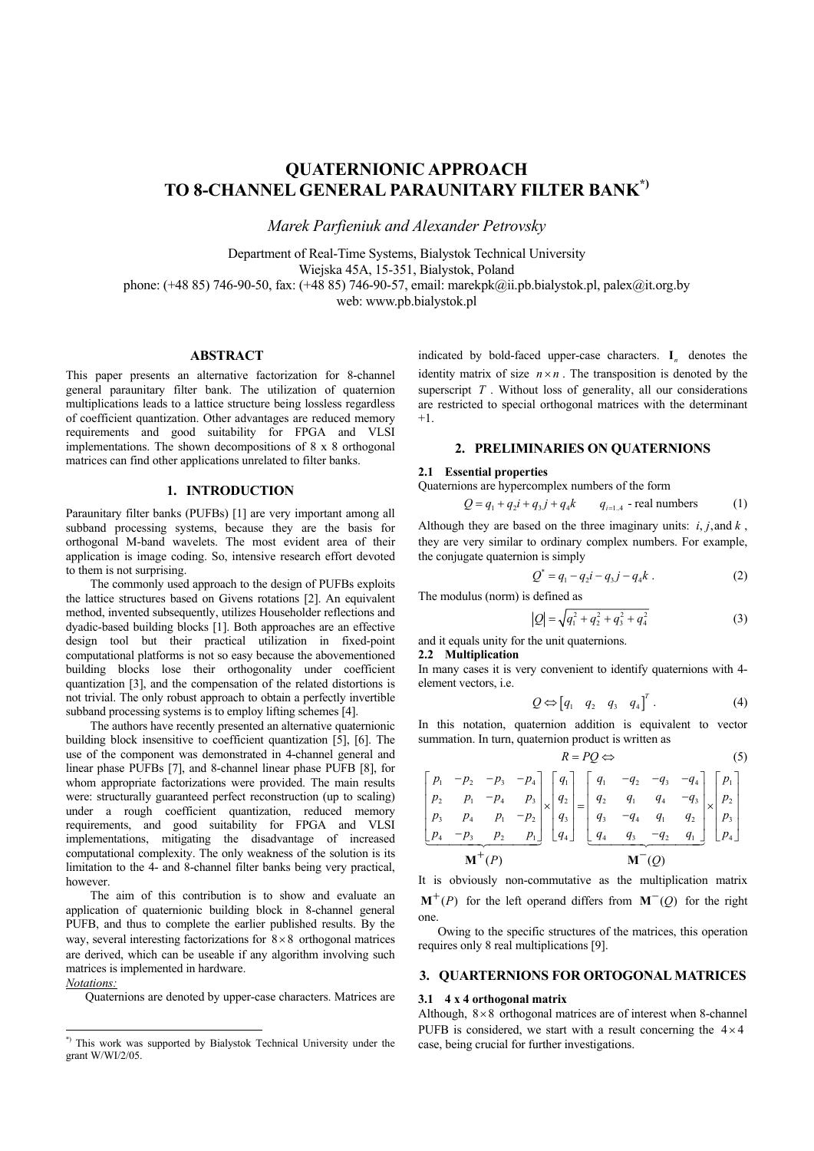# **QUATERNIONIC APPROACH TO 8-CHANNEL GENERAL PARAUNITARY FILTER BANK\*)**

*Marek Parfieniuk and Alexander Petrovsky* 

Department of Real-Time Systems, Bialystok Technical University Wiejska 45A, 15-351, Bialystok, Poland phone: (+48 85) 746-90-50, fax: (+48 85) 746-90-57, email: marekpk@ii.pb.bialystok.pl, palex@it.org.by web: www.pb.bialystok.pl

# **ABSTRACT\*)**

This paper presents an alternative factorization for 8-channel general paraunitary filter bank. The utilization of quaternion multiplications leads to a lattice structure being lossless regardless of coefficient quantization. Other advantages are reduced memory requirements and good suitability for FPGA and VLSI implementations. The shown decompositions of 8 x 8 orthogonal matrices can find other applications unrelated to filter banks.

# **1. INTRODUCTION**

Paraunitary filter banks (PUFBs) [1] are very important among all subband processing systems, because they are the basis for orthogonal M-band wavelets. The most evident area of their application is image coding. So, intensive research effort devoted to them is not surprising.

The commonly used approach to the design of PUFBs exploits the lattice structures based on Givens rotations [2]. An equivalent method, invented subsequently, utilizes Householder reflections and dyadic-based building blocks [1]. Both approaches are an effective design tool but their practical utilization in fixed-point computational platforms is not so easy because the abovementioned building blocks lose their orthogonality under coefficient quantization [3], and the compensation of the related distortions is not trivial. The only robust approach to obtain a perfectly invertible subband processing systems is to employ lifting schemes [4].

The authors have recently presented an alternative quaternionic building block insensitive to coefficient quantization [5], [6]. The use of the component was demonstrated in 4-channel general and linear phase PUFBs [7], and 8-channel linear phase PUFB [8], for whom appropriate factorizations were provided. The main results were: structurally guaranteed perfect reconstruction (up to scaling) under a rough coefficient quantization, reduced memory requirements, and good suitability for FPGA and VLSI implementations, mitigating the disadvantage of increased computational complexity. The only weakness of the solution is its limitation to the 4- and 8-channel filter banks being very practical, however.

The aim of this contribution is to show and evaluate an application of quaternionic building block in 8-channel general PUFB, and thus to complete the earlier published results. By the way, several interesting factorizations for  $8 \times 8$  orthogonal matrices are derived, which can be useable if any algorithm involving such matrices is implemented in hardware.

*Notations:*

l

Quaternions are denoted by upper-case characters. Matrices are

indicated by bold-faced upper-case characters.  $I_n$  denotes the identity matrix of size  $n \times n$ . The transposition is denoted by the superscript *T*. Without loss of generality, all our considerations are restricted to special orthogonal matrices with the determinant  $+1$ 

### **2. PRELIMINARIES ON QUATERNIONS**

# **2.1 Essential properties**

Quaternions are hypercomplex numbers of the form

$$
Q = q_1 + q_2 i + q_3 j + q_4 k \t q_{i=1,4}
$$
 - real numbers (1)

Although they are based on the three imaginary units:  $i, j$ , and  $k$ , they are very similar to ordinary complex numbers. For example, the conjugate quaternion is simply

$$
Q^* = q_1 - q_2 i - q_3 j - q_4 k . \tag{2}
$$

The modulus (norm) is defined as

$$
|Q| = \sqrt{q_1^2 + q_2^2 + q_3^2 + q_4^2}
$$
 (3)

and it equals unity for the unit quaternions.

### **2.2 Multiplication**

In many cases it is very convenient to identify quaternions with 4 element vectors, i.e.

$$
Q \Leftrightarrow \begin{bmatrix} q_1 & q_2 & q_3 & q_4 \end{bmatrix}^T.
$$
 (4)

In this notation, quaternion addition is equivalent to vector summation. In turn, quaternion product is written as

$$
R = PQ \Leftrightarrow \tag{5}
$$

$$
\begin{bmatrix} p_1 & -p_2 & -p_3 & -p_4 \ p_2 & p_1 & -p_4 & p_3 \ p_3 & p_4 & p_1 & -p_2 \ p_4 & -p_3 & p_2 & p_1 \end{bmatrix} \times \begin{bmatrix} q_1 \\ q_2 \\ q_3 \\ q_4 \end{bmatrix} = \begin{bmatrix} q_1 & -q_2 & -q_3 & -q_4 \ q_2 & q_1 & q_4 & -q_3 \ q_3 & -q_4 & q_1 & q_2 \ q_4 & q_3 & -q_2 & q_1 \end{bmatrix} \times \begin{bmatrix} p_1 \\ p_2 \\ p_3 \\ p_4 \end{bmatrix}
$$

$$
\mathbf{M}^+(P)
$$

It is obviously non-commutative as the multiplication matrix  $M^+(P)$  for the left operand differs from  $M^-(Q)$  for the right one.

Owing to the specific structures of the matrices, this operation requires only 8 real multiplications [9].

# **3. QUARTERNIONS FOR ORTOGONAL MATRICES**

### **3.1 4 x 4 orthogonal matrix**

Although,  $8 \times 8$  orthogonal matrices are of interest when 8-channel PUFB is considered, we start with a result concerning the  $4 \times 4$ case, being crucial for further investigations.

<sup>\*)</sup> This work was supported by Bialystok Technical University under the grant W/WI/2/05.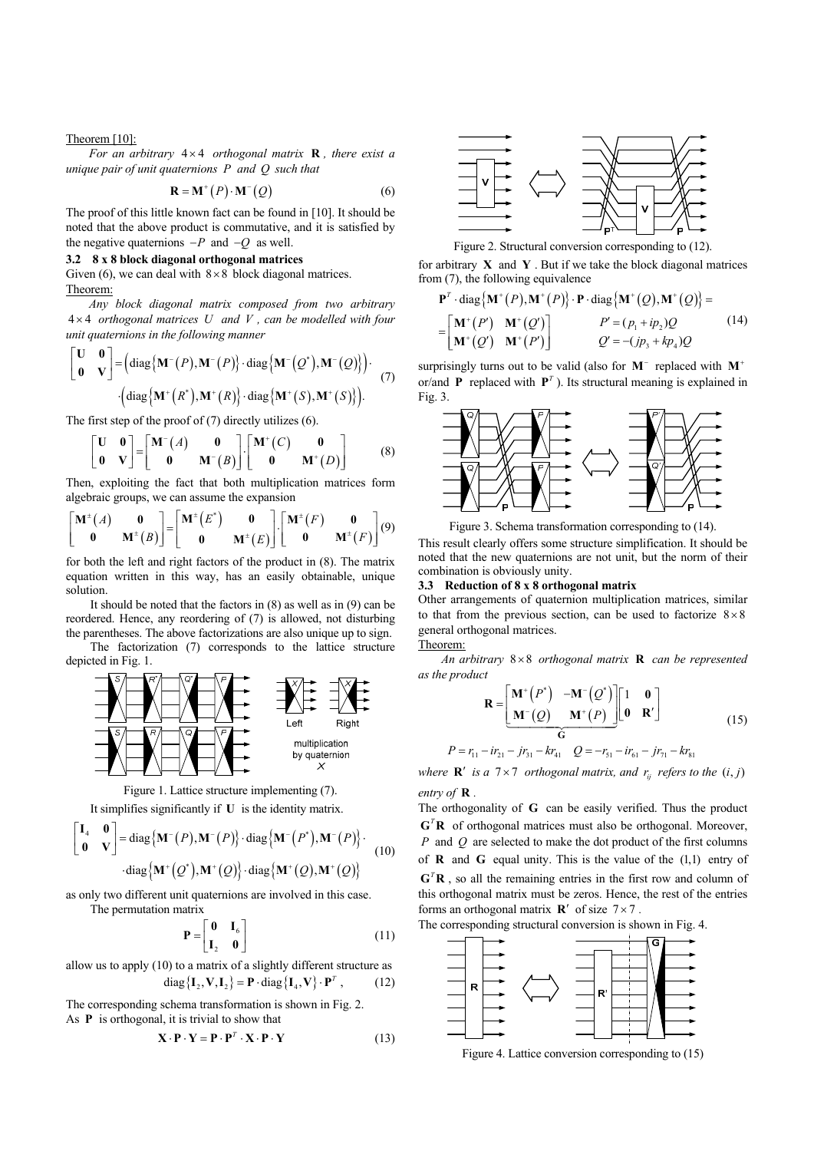# Theorem [10]:

*For an arbitrary*  $4 \times 4$  *orthogonal matrix* **R**, there exist a *unique pair of unit quaternions P and Q such that* 

$$
\mathbf{R} = \mathbf{M}^+(P) \cdot \mathbf{M}^-(Q) \tag{6}
$$

The proof of this little known fact can be found in [10]. It should be noted that the above product is commutative, and it is satisfied by the negative quaternions −*P* and −*Q* as well.

# **3.2 8 x 8 block diagonal orthogonal matrices**

Given (6), we can deal with  $8 \times 8$  block diagonal matrices. Theorem:

*Any block diagonal matrix composed from two arbitrary*  4 4 × *orthogonal matrices U and V , can be modelled with four unit quaternions in the following manner* 

$$
\begin{bmatrix} \mathbf{U} & \mathbf{0} \\ \mathbf{0} & \mathbf{V} \end{bmatrix} = (\text{diag}\{\mathbf{M}^{-}(P), \mathbf{M}^{-}(P)\} \cdot \text{diag}\{\mathbf{M}^{-}(Q^{*}), \mathbf{M}^{-}(Q)\}) \cdot \text{(7)}
$$

$$
\cdot (\text{diag}\{\mathbf{M}^{+}(R^{*}), \mathbf{M}^{+}(R)\} \cdot \text{diag}\{\mathbf{M}^{+}(S), \mathbf{M}^{+}(S)\}).
$$

The first step of the proof of (7) directly utilizes (6).

$$
\begin{bmatrix} \mathbf{U} & \mathbf{0} \\ \mathbf{0} & \mathbf{V} \end{bmatrix} = \begin{bmatrix} \mathbf{M}^{-}(A) & \mathbf{0} \\ \mathbf{0} & \mathbf{M}^{-}(B) \end{bmatrix} \cdot \begin{bmatrix} \mathbf{M}^{+}(C) & \mathbf{0} \\ \mathbf{0} & \mathbf{M}^{+}(D) \end{bmatrix}
$$
 (8)

Then, exploiting the fact that both multiplication matrices form algebraic groups, we can assume the expansion

$$
\begin{bmatrix} \mathbf{M}^{\pm}(A) & \mathbf{0} \\ \mathbf{0} & \mathbf{M}^{\pm}(B) \end{bmatrix} = \begin{bmatrix} \mathbf{M}^{\pm}(E^*) & \mathbf{0} \\ \mathbf{0} & \mathbf{M}^{\pm}(E) \end{bmatrix} \begin{bmatrix} \mathbf{M}^{\pm}(F) & \mathbf{0} \\ \mathbf{0} & \mathbf{M}^{\pm}(F) \end{bmatrix} (9)
$$

for both the left and right factors of the product in (8). The matrix equation written in this way, has an easily obtainable, unique solution.

It should be noted that the factors in (8) as well as in (9) can be reordered. Hence, any reordering of (7) is allowed, not disturbing the parentheses. The above factorizations are also unique up to sign.

The factorization (7) corresponds to the lattice structure depicted in Fig. 1.



Figure 1. Lattice structure implementing (7).

It simplifies significantly if **U** is the identity matrix.

$$
\begin{bmatrix} \mathbf{I}_4 & \mathbf{0} \\ \mathbf{0} & \mathbf{V} \end{bmatrix} = \text{diag}\left\{ \mathbf{M}^{-}(P), \mathbf{M}^{-}(P) \right\} \cdot \text{diag}\left\{ \mathbf{M}^{-}(P^*), \mathbf{M}^{-}(P) \right\} \cdot \text{diag}\left\{ \mathbf{M}^{+}(Q^*) , \mathbf{M}^{+}(Q) \right\} \cdot \text{diag}\left\{ \mathbf{M}^{+}(Q), \mathbf{M}^{+}(Q) \right\} \tag{10}
$$

as only two different unit quaternions are involved in this case. The permutation matrix

$$
\mathbf{P} = \begin{bmatrix} \mathbf{0} & \mathbf{I}_6 \\ \mathbf{I}_2 & \mathbf{0} \end{bmatrix} \tag{11}
$$

allow us to apply (10) to a matrix of a slightly different structure as  $diag{I_2, V, I_2} = P \cdot diag{I_4, V} \cdot P^T$ , (12)

The corresponding schema transformation is shown in Fig. 2. As **P** is orthogonal, it is trivial to show that

$$
\mathbf{X} \cdot \mathbf{P} \cdot \mathbf{Y} = \mathbf{P} \cdot \mathbf{P}^T \cdot \mathbf{X} \cdot \mathbf{P} \cdot \mathbf{Y}
$$
 (13)



Figure 2. Structural conversion corresponding to  $(12)$ . for arbitrary  $X$  and  $Y$ . But if we take the block diagonal matrices from (7), the following equivalence

$$
\mathbf{P}^T \cdot \text{diag}\left\{\mathbf{M}^+(P), \mathbf{M}^+(P)\right\} \cdot \mathbf{P} \cdot \text{diag}\left\{\mathbf{M}^+(Q), \mathbf{M}^+(Q)\right\} = \begin{bmatrix} \mathbf{M}^+(P') & \mathbf{M}^+(Q') \\ \mathbf{M}^+(Q') & \mathbf{M}^+(P') \end{bmatrix} \qquad \begin{array}{l} P' = (p_1 + ip_2)Q \\ Q' = -(jp_3 + kp_4)Q \end{array} \tag{14}
$$

surprisingly turns out to be valid (also for **M**<sup>−</sup> replaced with **M**<sup>+</sup> or/and **P** replaced with  $P<sup>T</sup>$ ). Its structural meaning is explained in Fig. 3.



Figure 3. Schema transformation corresponding to (14).

This result clearly offers some structure simplification. It should be noted that the new quaternions are not unit, but the norm of their combination is obviously unity.

#### **3.3 Reduction of 8 x 8 orthogonal matrix**

Other arrangements of quaternion multiplication matrices, similar to that from the previous section, can be used to factorize  $8 \times 8$ general orthogonal matrices.

Theorem:

*An arbitrary* 8×8 *orthogonal matrix* **R** *can be represented as the product*

$$
\mathbf{R} = \begin{bmatrix} \mathbf{M}^+ (P^*) & -\mathbf{M}^- (Q^*) \\ \mathbf{M}^- (Q) & \mathbf{M}^+ (P) \end{bmatrix} \begin{bmatrix} 1 & \mathbf{0} \\ \mathbf{0} & \mathbf{R}' \end{bmatrix}
$$
(15)

 $P = r_{11} - ir_{21} - jr_{31} - kr_{41}$   $Q = -r_{51} - ir_{61} - jr_{71} - kr_{81}$ 

*where*  $\mathbf{R}'$  *is a*  $7 \times 7$  *orthogonal matrix, and*  $r_i$  *refers to the*  $(i, j)$ 

*entry of*  $\bf{R}$ *.* 

The orthogonality of **G** can be easily verified. Thus the product  $G<sup>T</sup>R$  of orthogonal matrices must also be orthogonal. Moreover, *P* and *Q* are selected to make the dot product of the first columns of **R** and **G** equal unity. This is the value of the (1,1) entry of  $G<sup>T</sup>R$ , so all the remaining entries in the first row and column of this orthogonal matrix must be zeros. Hence, the rest of the entries forms an orthogonal matrix  $\mathbf{R}'$  of size  $7 \times 7$ .

The corresponding structural conversion is shown in Fig. 4.



Figure 4. Lattice conversion corresponding to (15)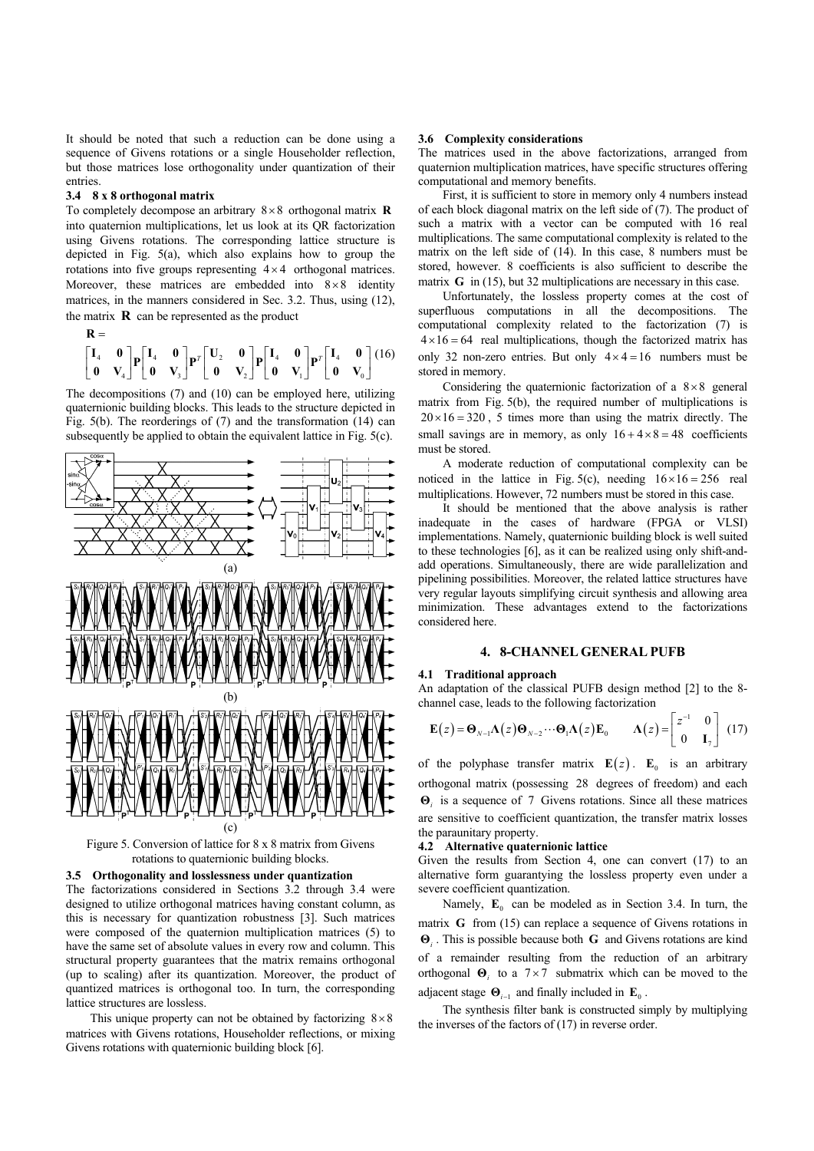It should be noted that such a reduction can be done using a sequence of Givens rotations or a single Householder reflection, but those matrices lose orthogonality under quantization of their entries.

## **3.4 8 x 8 orthogonal matrix**

To completely decompose an arbitrary  $8 \times 8$  orthogonal matrix **R** into quaternion multiplications, let us look at its QR factorization using Givens rotations. The corresponding lattice structure is depicted in Fig. 5(a), which also explains how to group the rotations into five groups representing  $4 \times 4$  orthogonal matrices. Moreover, these matrices are embedded into  $8 \times 8$  identity matrices, in the manners considered in Sec. 3.2. Thus, using (12), the matrix  $\bf{R}$  can be represented as the product

$$
\mathbf{R} = \begin{bmatrix} \mathbf{I}_4 & \mathbf{0} \end{bmatrix}
$$

$$
\begin{bmatrix} \mathbf{I}_4 & \mathbf{0} \\ \mathbf{0} & \mathbf{V}_4 \end{bmatrix} \mathbf{P} \begin{bmatrix} \mathbf{I}_4 & \mathbf{0} \\ \mathbf{0} & \mathbf{V}_3 \end{bmatrix} \mathbf{P}^T \begin{bmatrix} \mathbf{U}_2 & \mathbf{0} \\ \mathbf{0} & \mathbf{V}_2 \end{bmatrix} \mathbf{P} \begin{bmatrix} \mathbf{I}_4 & \mathbf{0} \\ \mathbf{0} & \mathbf{V}_1 \end{bmatrix} \mathbf{P}^T \begin{bmatrix} \mathbf{I}_4 & \mathbf{0} \\ \mathbf{0} & \mathbf{V}_0 \end{bmatrix} (16)
$$

The decompositions (7) and (10) can be employed here, utilizing quaternionic building blocks. This leads to the structure depicted in Fig. 5(b). The reorderings of (7) and the transformation (14) can subsequently be applied to obtain the equivalent lattice in Fig. 5(c).



 $(c)$ 

Figure 5. Conversion of lattice for 8 x 8 matrix from Givens rotations to quaternionic building blocks.

# **3.5 Orthogonality and losslessness under quantization**

The factorizations considered in Sections 3.2 through 3.4 were designed to utilize orthogonal matrices having constant column, as this is necessary for quantization robustness [3]. Such matrices were composed of the quaternion multiplication matrices (5) to have the same set of absolute values in every row and column. This structural property guarantees that the matrix remains orthogonal (up to scaling) after its quantization. Moreover, the product of quantized matrices is orthogonal too. In turn, the corresponding lattice structures are lossless.

This unique property can not be obtained by factorizing  $8 \times 8$ matrices with Givens rotations, Householder reflections, or mixing Givens rotations with quaternionic building block [6].

### **3.6 Complexity considerations**

The matrices used in the above factorizations, arranged from quaternion multiplication matrices, have specific structures offering computational and memory benefits.

First, it is sufficient to store in memory only 4 numbers instead of each block diagonal matrix on the left side of (7). The product of such a matrix with a vector can be computed with 16 real multiplications. The same computational complexity is related to the matrix on the left side of (14). In this case, 8 numbers must be stored, however. 8 coefficients is also sufficient to describe the matrix **G** in (15), but 32 multiplications are necessary in this case.

Unfortunately, the lossless property comes at the cost of superfluous computations in all the decompositions. The computational complexity related to the factorization (7) is  $4 \times 16 = 64$  real multiplications, though the factorized matrix has only 32 non-zero entries. But only  $4 \times 4 = 16$  numbers must be stored in memory.

Considering the quaternionic factorization of a  $8 \times 8$  general matrix from Fig. 5(b), the required number of multiplications is  $20 \times 16 = 320$ , 5 times more than using the matrix directly. The small savings are in memory, as only  $16 + 4 \times 8 = 48$  coefficients must be stored.

A moderate reduction of computational complexity can be noticed in the lattice in Fig. 5(c), needing  $16 \times 16 = 256$  real multiplications. However, 72 numbers must be stored in this case.

It should be mentioned that the above analysis is rather inadequate in the cases of hardware (FPGA or VLSI) implementations. Namely, quaternionic building block is well suited to these technologies [6], as it can be realized using only shift-andadd operations. Simultaneously, there are wide parallelization and pipelining possibilities. Moreover, the related lattice structures have very regular layouts simplifying circuit synthesis and allowing area minimization. These advantages extend to the factorizations considered here.

# **4. 8-CHANNEL GENERAL PUFB**

# **4.1 Traditional approach**

An adaptation of the classical PUFB design method [2] to the 8 channel case, leads to the following factorization

$$
\mathbf{E}(z) = \mathbf{\Theta}_{N-1} \mathbf{\Lambda}(z) \mathbf{\Theta}_{N-2} \cdots \mathbf{\Theta}_{1} \mathbf{\Lambda}(z) \mathbf{E}_0 \qquad \mathbf{\Lambda}(z) = \begin{bmatrix} z^{-1} & 0 \\ 0 & \mathbf{I}_7 \end{bmatrix} \tag{17}
$$

of the polyphase transfer matrix  $E(z)$ .  $E_0$  is an arbitrary orthogonal matrix (possessing 28 degrees of freedom) and each **Θ***i* is a sequence of 7 Givens rotations. Since all these matrices are sensitive to coefficient quantization, the transfer matrix losses the paraunitary property.

### **4.2 Alternative quaternionic lattice**

Given the results from Section 4, one can convert (17) to an alternative form guarantying the lossless property even under a severe coefficient quantization.

Namely,  $E_0$  can be modeled as in Section 3.4. In turn, the matrix **G** from (15) can replace a sequence of Givens rotations in **Θ***<sup>i</sup>* . This is possible because both **G** and Givens rotations are kind of a remainder resulting from the reduction of an arbitrary orthogonal  $\Theta$ <sub>*i*</sub> to a  $7 \times 7$  submatrix which can be moved to the adjacent stage  $\mathbf{\Theta}_{i-1}$  and finally included in  $\mathbf{E}_0$ .

The synthesis filter bank is constructed simply by multiplying the inverses of the factors of (17) in reverse order.